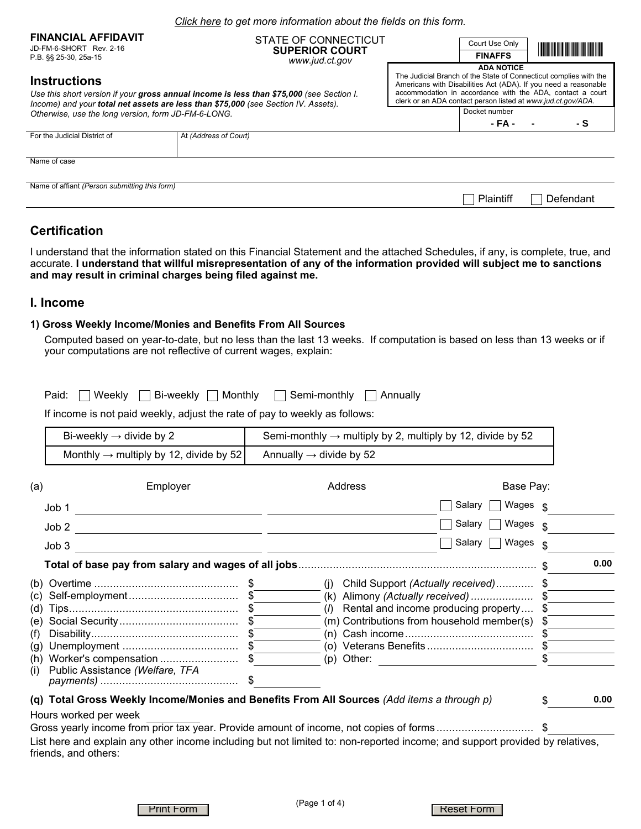|                                                       | Click here to get more information about the fields on this form.                                                                                                              |  |                                                                                                                                                                                                                                                                   |                                                                                                                       |  |  |  |  |  |  |  |
|-------------------------------------------------------|--------------------------------------------------------------------------------------------------------------------------------------------------------------------------------|--|-------------------------------------------------------------------------------------------------------------------------------------------------------------------------------------------------------------------------------------------------------------------|-----------------------------------------------------------------------------------------------------------------------|--|--|--|--|--|--|--|
| <b>FINANCIAL AFFIDAVIT</b><br>JD-FM-6-SHORT Rev. 2-16 | STATE OF CONNECTICUT<br><b>SUPERIOR COURT</b>                                                                                                                                  |  | Court Use Only                                                                                                                                                                                                                                                    | <u> Harry Harry Harry Harry Harry Harry Harry Harry Harry Harry Harry Harry Harry Harry Harry Harry Harry Harry H</u> |  |  |  |  |  |  |  |
| P.B. §§ 25-30, 25a-15                                 | www.jud.ct.gov                                                                                                                                                                 |  | <b>FINAFFS</b><br><b>ADA NOTICE</b>                                                                                                                                                                                                                               |                                                                                                                       |  |  |  |  |  |  |  |
| <b>Instructions</b>                                   | Use this short version if your gross annual income is less than \$75,000 (see Section I.<br>Income) and your total net assets are less than \$75,000 (see Section IV. Assets). |  | The Judicial Branch of the State of Connecticut complies with the<br>Americans with Disabilities Act (ADA). If you need a reasonable<br>accommodation in accordance with the ADA, contact a court<br>clerk or an ADA contact person listed at www.jud.ct.gov/ADA. |                                                                                                                       |  |  |  |  |  |  |  |
| Otherwise, use the long version, form JD-FM-6-LONG.   |                                                                                                                                                                                |  | Docket number<br>- FA -                                                                                                                                                                                                                                           | - S                                                                                                                   |  |  |  |  |  |  |  |
| For the Judicial District of                          | At (Address of Court)                                                                                                                                                          |  |                                                                                                                                                                                                                                                                   |                                                                                                                       |  |  |  |  |  |  |  |
| Name of case                                          |                                                                                                                                                                                |  |                                                                                                                                                                                                                                                                   |                                                                                                                       |  |  |  |  |  |  |  |
| Name of affiant (Person submitting this form)         |                                                                                                                                                                                |  | Plaintiff                                                                                                                                                                                                                                                         | Defendant                                                                                                             |  |  |  |  |  |  |  |

# **Certification**

I understand that the information stated on this Financial Statement and the attached Schedules, if any, is complete, true, and accurate. **I understand that willful misrepresentation of any of the information provided will subject me to sanctions and may result in criminal charges being filed against me.**

## **I. Income**

#### **1) Gross Weekly Income/Monies and Benefits From All Sources**

Computed based on year-to-date, but no less than the last 13 weeks. If computation is based on less than 13 weeks or if your computations are not reflective of current wages, explain:

|  | Paid: Weekly Bi-weekly Monthly | Semi-monthly Annually |  |
|--|--------------------------------|-----------------------|--|
|  |                                |                       |  |

If income is not paid weekly, adjust the rate of pay to weekly as follows:

| Bi-weekly $\rightarrow$ divide by 2                | Semi-monthly $\rightarrow$ multiply by 2, multiply by 12, divide by 52 |
|----------------------------------------------------|------------------------------------------------------------------------|
| Monthly $\rightarrow$ multiply by 12, divide by 52 | Annually $\rightarrow$ divide by 52                                    |

| (a) | Employer                                                                                                                                             |      | Address                                    | Base Pay:                            |      |      |
|-----|------------------------------------------------------------------------------------------------------------------------------------------------------|------|--------------------------------------------|--------------------------------------|------|------|
|     | Job 1                                                                                                                                                |      |                                            | Salary<br>Wages                      |      |      |
|     | Job 2                                                                                                                                                |      |                                            | Salary<br>Wages                      | \$.  |      |
|     | Job3                                                                                                                                                 |      |                                            | Salary<br>Wages                      |      |      |
|     |                                                                                                                                                      |      |                                            |                                      |      | 0.00 |
| (b) |                                                                                                                                                      |      | (I)                                        | Child Support (Actually received) \$ |      |      |
| (C) |                                                                                                                                                      |      | (k) Alimony (Actually received)            |                                      |      |      |
| (d) |                                                                                                                                                      |      | (1)                                        | Rental and income producing property | - \$ |      |
| (e) |                                                                                                                                                      |      | (m) Contributions from household member(s) |                                      | - 56 |      |
| (f) |                                                                                                                                                      | - 56 |                                            |                                      |      |      |
| (g) |                                                                                                                                                      |      |                                            |                                      |      |      |
| (h) |                                                                                                                                                      |      | (p) Other:                                 |                                      |      |      |
| (i) | Public Assistance (Welfare, TFA                                                                                                                      |      |                                            |                                      |      |      |
|     |                                                                                                                                                      |      |                                            |                                      |      |      |
|     | (q) Total Gross Weekly Income/Monies and Benefits From All Sources (Add items a through p)                                                           |      |                                            |                                      |      | 0.00 |
|     | Hours worked per week                                                                                                                                |      |                                            |                                      |      |      |
|     | Gross yearly income from prior tax year. Provide amount of income, not copies of forms\$                                                             |      |                                            |                                      |      |      |
|     | List here and explain any other income including but not limited to: non-reported income; and support provided by relatives,<br>friends, and others: |      |                                            |                                      |      |      |

Print Form Reset Form Reset Form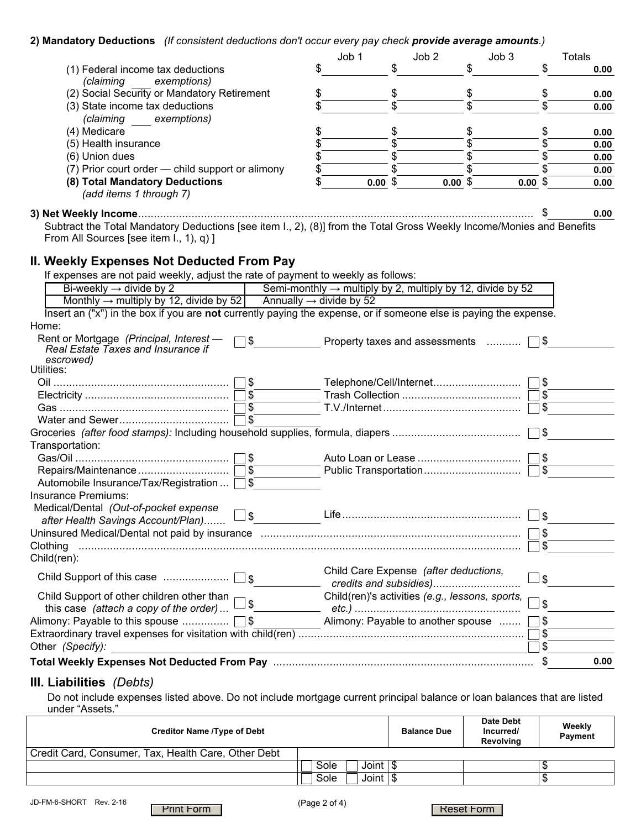### **2) Mandatory Deductions** *(If consistent deductions don't occur every pay check provide average amounts.)*

|                                                                                                                                                                          |      | Job 1                                                                                                                | Job <sub>2</sub>                                                       | Job 3                   | <b>Totals</b> |
|--------------------------------------------------------------------------------------------------------------------------------------------------------------------------|------|----------------------------------------------------------------------------------------------------------------------|------------------------------------------------------------------------|-------------------------|---------------|
| (1) Federal income tax deductions                                                                                                                                        | \$   | \$                                                                                                                   | \$                                                                     | \$                      | 0.00          |
| (claiming<br>exemptions)                                                                                                                                                 |      |                                                                                                                      |                                                                        |                         |               |
| (2) Social Security or Mandatory Retirement                                                                                                                              | \$   |                                                                                                                      | \$                                                                     | \$                      | 0.00          |
| (3) State income tax deductions                                                                                                                                          |      |                                                                                                                      |                                                                        | \$                      | 0.00          |
| (claiming exemptions)                                                                                                                                                    |      |                                                                                                                      |                                                                        |                         |               |
| (4) Medicare                                                                                                                                                             | \$   | \$                                                                                                                   | \$                                                                     | \$                      | 0.00          |
| (5) Health insurance                                                                                                                                                     | \$   | \$                                                                                                                   | \$                                                                     | \$                      | 0.00          |
| (6) Union dues                                                                                                                                                           | \$   | \$                                                                                                                   | \$                                                                     | \$                      | 0.00          |
| (7) Prior court order - child support or alimony                                                                                                                         | \$   |                                                                                                                      | \$                                                                     | \$                      | 0.00          |
| (8) Total Mandatory Deductions<br>(add items 1 through 7)                                                                                                                | \$   | 0.00~\$                                                                                                              | 0.00~\$                                                                | 0.00~\$                 | 0.00          |
|                                                                                                                                                                          |      |                                                                                                                      |                                                                        |                         | 0.00          |
| Subtract the Total Mandatory Deductions [see item I., 2), (8)] from the Total Gross Weekly Income/Monies and Benefits                                                    |      |                                                                                                                      |                                                                        |                         |               |
| From All Sources [see item I., 1), q) ]                                                                                                                                  |      |                                                                                                                      |                                                                        |                         |               |
|                                                                                                                                                                          |      |                                                                                                                      |                                                                        |                         |               |
| II. Weekly Expenses Not Deducted From Pay                                                                                                                                |      |                                                                                                                      |                                                                        |                         |               |
| If expenses are not paid weekly, adjust the rate of payment to weekly as follows:                                                                                        |      |                                                                                                                      |                                                                        |                         |               |
| Bi-weekly $\rightarrow$ divide by 2                                                                                                                                      |      |                                                                                                                      | Semi-monthly $\rightarrow$ multiply by 2, multiply by 12, divide by 52 |                         |               |
| Monthly $\rightarrow$ multiply by 12, divide by 52 Annually $\rightarrow$ divide by 52                                                                                   |      |                                                                                                                      |                                                                        |                         |               |
| Insert an ("x") in the box if you are not currently paying the expense, or if someone else is paying the expense.                                                        |      |                                                                                                                      |                                                                        |                         |               |
| Home:                                                                                                                                                                    |      |                                                                                                                      |                                                                        |                         |               |
| Rent or Mortgage (Principal, Interest -<br>\$<br>Real Estate Taxes and Insurance if                                                                                      |      |                                                                                                                      | Property taxes and assessments                                         | ∏\$                     |               |
| escrowed)<br>Utilities:                                                                                                                                                  |      |                                                                                                                      |                                                                        |                         |               |
| \$                                                                                                                                                                       |      |                                                                                                                      | Telephone/Cell/Internet                                                | \$                      |               |
| $\sqrt{2}$                                                                                                                                                               |      |                                                                                                                      |                                                                        | \$                      |               |
| $\boldsymbol{\mathsf{S}}$                                                                                                                                                |      |                                                                                                                      |                                                                        | $\sqrt[6]{\frac{1}{2}}$ |               |
| $\sqrt{3}$                                                                                                                                                               |      |                                                                                                                      |                                                                        |                         |               |
|                                                                                                                                                                          |      |                                                                                                                      |                                                                        | $\frac{1}{2}$           |               |
| Transportation:                                                                                                                                                          |      |                                                                                                                      |                                                                        |                         |               |
| \$                                                                                                                                                                       |      |                                                                                                                      |                                                                        | \$                      |               |
| $\boldsymbol{\mathsf{S}}$                                                                                                                                                |      |                                                                                                                      | Public Transportation                                                  | $\sqrt[6]{\frac{1}{2}}$ |               |
| $\sqrt{3}$<br>Automobile Insurance/Tax/Registration                                                                                                                      |      |                                                                                                                      |                                                                        |                         |               |
| Insurance Premiums:                                                                                                                                                      |      |                                                                                                                      |                                                                        |                         |               |
| Medical/Dental (Out-of-pocket expense                                                                                                                                    |      |                                                                                                                      |                                                                        |                         |               |
| after Health Savings Account/Plan) [5]                                                                                                                                   | Life |                                                                                                                      |                                                                        | \$∟                     |               |
| Uninsured Medical/Dental not paid by insurance manufactured contained and manufactured Medical/Dental not paid by insurance manufactured contained and the United States |      |                                                                                                                      |                                                                        | \$                      |               |
| Clothing                                                                                                                                                                 |      |                                                                                                                      |                                                                        | \$                      |               |
| Child(ren):                                                                                                                                                              |      |                                                                                                                      |                                                                        |                         |               |
| $\Box$ s                                                                                                                                                                 |      |                                                                                                                      | Child Care Expense (after deductions,<br>credits and subsidies)        | \$                      |               |
| Child Support of other children other than                                                                                                                               |      |                                                                                                                      | Child(ren)'s activities (e.g., lessons, sports,                        |                         |               |
| this case (attach a copy of the order)                                                                                                                                   |      |                                                                                                                      |                                                                        | \$                      |               |
| Alimony: Payable to this spouse<br> \$                                                                                                                                   |      |                                                                                                                      | Alimony: Payable to another spouse                                     | \$                      |               |
|                                                                                                                                                                          |      |                                                                                                                      |                                                                        | \$                      |               |
| Other (Specify):                                                                                                                                                         |      | <u> 1989 - Johann Stein, marwolaethau a bhann an t-Amhair an t-Amhair an t-Amhair an t-Amhair an t-Amhair an t-A</u> |                                                                        | \$                      |               |
|                                                                                                                                                                          |      |                                                                                                                      |                                                                        | \$                      | 0.00          |
|                                                                                                                                                                          |      |                                                                                                                      |                                                                        |                         |               |

# **III. Liabilities** *(Debts)*

Do not include expenses listed above. Do not include mortgage current principal balance or loan balances that are listed under "Assets."

| <b>Creditor Name /Type of Debt</b>                  | <b>Balance Due</b>          | Date Debt<br>Incurred/<br>Revolvina | Weekly<br>Payment |  |
|-----------------------------------------------------|-----------------------------|-------------------------------------|-------------------|--|
| Credit Card, Consumer, Tax, Health Care, Other Debt |                             |                                     |                   |  |
|                                                     | Joint $\sqrt{3}$<br>Sole    |                                     |                   |  |
|                                                     | Joint $\frac{1}{3}$<br>Sole |                                     |                   |  |



**Reset Form**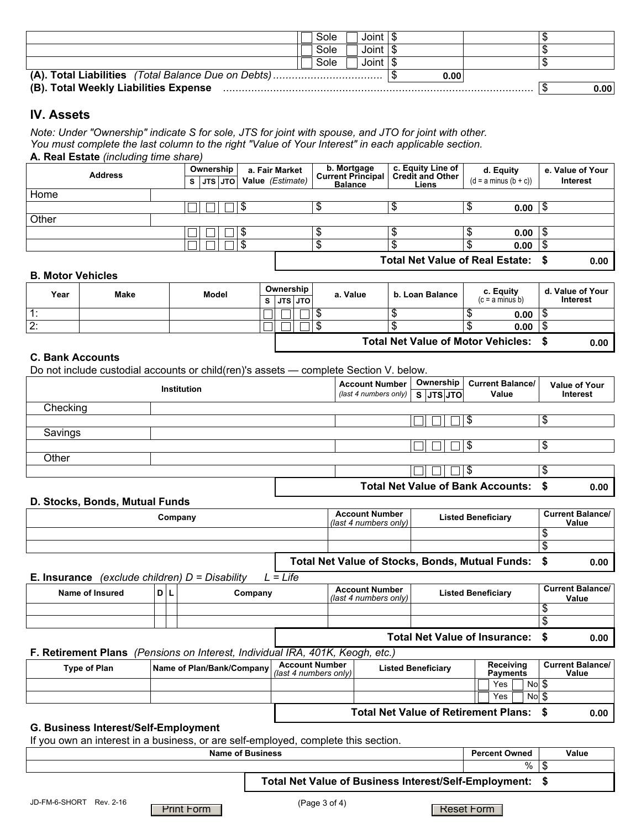|                                       | Sole | Joint   \$ |  |  |      |
|---------------------------------------|------|------------|--|--|------|
|                                       | Sole | Joint   \$ |  |  |      |
|                                       | Sole | Joint   \$ |  |  |      |
|                                       |      |            |  |  |      |
| (B). Total Weekly Liabilities Expense |      |            |  |  | 0.00 |

# **IV. Assets**

*Note: Under "Ownership" indicate S for sole, JTS for joint with spouse, and JTO for joint with other. You must complete the last column to the right "Value of Your Interest" in each applicable section.*  **A. Real Estate** *(including time share)*

| <b>Address</b> |  | Ownership |  |           |                  | a. Fair Market | b. Mortgage<br>Current Principal | c. Equity Line of<br><b>Credit and Other</b> | d. Equity               | e. Value of Your |
|----------------|--|-----------|--|-----------|------------------|----------------|----------------------------------|----------------------------------------------|-------------------------|------------------|
|                |  |           |  | S JTS JTO | Value (Estimate) |                | <b>Balance</b><br>Liens          |                                              | $(d = a minus (b + c))$ | Interest         |
| Home           |  |           |  |           |                  |                |                                  |                                              |                         |                  |
|                |  |           |  |           |                  |                |                                  |                                              | 0.00<br>۰D              |                  |
| Other          |  |           |  |           |                  |                |                                  |                                              |                         |                  |
|                |  |           |  |           |                  |                |                                  |                                              | 0.00                    |                  |
|                |  |           |  |           |                  |                |                                  |                                              | 0.00                    |                  |
|                |  |           |  |           |                  |                |                                  | Total Net Value of Real Estate: \$           |                         | 0.00             |

### **B. Motor Vehicles**

| Year | <b>Make</b> | Model |  |               | Ownership |  |    | a. Value | b. Loan Balance                           |  | c. Equity         |     | d. Value of Your |
|------|-------------|-------|--|---------------|-----------|--|----|----------|-------------------------------------------|--|-------------------|-----|------------------|
|      |             |       |  | s luts luto l |           |  |    |          |                                           |  | $(c = a minus b)$ |     | Interest         |
|      |             |       |  | _             |           |  | ۰D |          |                                           |  | 0.00              | ۰D  |                  |
| :2ا  |             |       |  |               |           |  | ۰D |          |                                           |  | 0.00              | . D |                  |
|      |             |       |  |               |           |  |    |          | <b>Total Net Value of Motor Vehicles:</b> |  |                   |     | 0.00             |

#### **C. Bank Accounts**

Do not include custodial accounts or child(ren)'s assets — complete Section V. below.

|          | <b>Institution</b> | <b>Account Number</b><br>(last 4 numbers only) $\mid S \vert JTS \vert JTO \vert$ | Ownership | <b>Current Balance/</b><br>Value     | <b>Value of Your</b><br>Interest |      |
|----------|--------------------|-----------------------------------------------------------------------------------|-----------|--------------------------------------|----------------------------------|------|
| Checking |                    |                                                                                   |           |                                      |                                  |      |
|          |                    |                                                                                   |           |                                      | \$                               |      |
| Savings  |                    |                                                                                   |           |                                      |                                  |      |
|          |                    |                                                                                   |           |                                      | \$                               |      |
| Other    |                    |                                                                                   |           |                                      |                                  |      |
|          |                    |                                                                                   |           |                                      | \$                               |      |
|          |                    |                                                                                   |           | Total Net Value of Bank Accounts: \$ |                                  | 0.00 |

#### **D. Stocks, Bonds, Mutual Funds**

| Company | <b>Account Number</b><br>(last 4 numbers only) | <b>Listed Beneficiary</b>                          | <b>Current Balance/</b><br>Value |
|---------|------------------------------------------------|----------------------------------------------------|----------------------------------|
|         |                                                |                                                    |                                  |
|         |                                                |                                                    |                                  |
|         |                                                | Total Net Value of Stocks, Bonds, Mutual Funds: \$ | 0.00                             |

#### **E. Insurance** *(exclude children) D = Disability L = Life*

| Name of Insured | D L | Company | <b>Account Number</b><br>(last 4 numbers only) | <b>Listed Beneficiary</b>            | <b>Current Balance/</b><br>Value |
|-----------------|-----|---------|------------------------------------------------|--------------------------------------|----------------------------------|
|                 |     |         |                                                |                                      | ۰D                               |
|                 |     |         |                                                |                                      |                                  |
|                 |     |         |                                                | <b>Total Net Value of Insurance:</b> | 0.00                             |

# **F. Retirement Plans** *(Pensions on Interest, Individual IRA, 401K, Keogh, etc.)*

| <b>Type of Plan</b> | <b>IName of Plan/Bank/Company</b>   P | <b>Account Number</b><br>$\vert$ (last 4 numbers only) | <b>Listed Beneficiary</b>                   | Receiving<br><b>Pavments</b> | <b>Current Balance/</b><br>Value |
|---------------------|---------------------------------------|--------------------------------------------------------|---------------------------------------------|------------------------------|----------------------------------|
|                     |                                       |                                                        |                                             | Nol \$<br>Yes                |                                  |
|                     |                                       |                                                        |                                             | Nol \$<br>Yes                |                                  |
|                     |                                       |                                                        | <b>Total Net Value of Retirement Plans:</b> |                              | 0.00                             |

### **G. Business Interest/Self-Employment**

If you own an interest in a business, or are self-employed, complete this section.

**Name of Business Percent Owned Percent Owned Percent Owned Value** 

**Total Net Value of Business Interest/Self-Employment: \$**

**Reset Form** 

 $% |$ \$